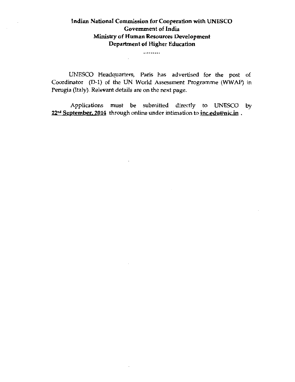# Indian National Commission for Cooperation with UNESCO Government of India Ministry of Human Resources Development Department of Higher Education

.........

 $\mathbf{r}$ 

 $\cdot$ 

UNESCO Headquarters, Paris has advertised for the post of Coordinator (D-1) of the UN World Assessment Programme (WWAP) in Perugia (Italy). Relevant details are on the next page.

Applications must be submitted directly to UNESCO by 22<sup>nd</sup> September. 2014 through online under intimation to *inc.edu@nic.in*.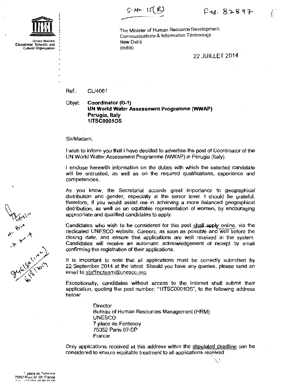$S$ . No.  $US(S)$ 

(:

United Nations<br>Educational, Scientific and Cllltural Organization

The Minister of Human Resource Development, Communications & Information Technology New Delhi (India}

22 JUILLET 2014

Ref.: CU4061

Objet: Coordinator (D-1) **UN World Water Assessment Programme {WWAP) Perugia, Italy**  11TSC0001 OS

Sir/Madam,

I wish to inform you that I have decided to advertise the post of Coordinator of the UN World Water Assessment Programme (WWAP) in Perugia (Italy).

I enclose herewith information on the duties with which the selected candidate will be entrusted, as well as on the required qualifications, experience and competencies.

As you know, the Secretariat accords great importance to geographical distribution and gender, especially at the senior level. I should be grateful, therefore, if you would assist me in achieving a more balanced geographical distribution, as well as an equitable representation of women, by encouraging appropriate and qualified candidates to apply.

Candidates who wish to be considered for this post shall apply online, via the dedicated UNESCO website, Careers, as soon as possible and well before the closing date, and ensure that applications are well received in the system. Candidates will receive an automatic acknowledgement of receipt by email confirming the registration of their applications.

It is important to note that all applications must be correctly submitted by 22 September 2014 at the latest. Should you have any queries, please send an email to staffingteam@unesco.org.

Exceptionally, candidates without access to the Internet shall submit their application, quoting the post number: "11TSC00010S", to the following address below:

> **Director** Bureau of Human Resources Management (HRM) UNESCO 7 place de Fontenoy 75352 Paris 07 -SP France

Only applications received at this address within the stipulated deadline can be considered to ensure equitable treatment to all applications received.

اش ش

Wednetty<br>At Bind R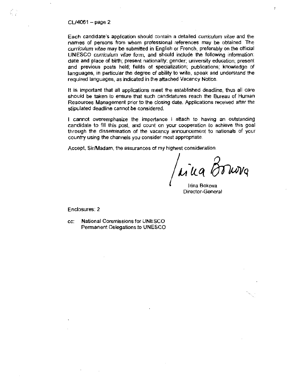#### $CL/4061 - page 2$

Ŕ.

Each candidate's application should contain a detailed curriculum vitae and the names of persons from whom professional references may be obtained\_ The curriculum vitae may be submitted in English or French, preferably on the official UNESCO curriculum vitae form, and should include the following information: date and place of birth; present nationality: gender; university education; present and previous posts held; fields of specialization; publications; knowledge of languages, in particular the degree of ability to write, speak and understand the required languages, as indicated in the attached Vacancy Notice.

It is important that all applications meet the established deadline, thus all care should be taken to ensure that such candidatures reach the Bureau of Human Resources Management prior to the closing date. Applications received after the stipulated deadline cannot be considered.

I cannot overemphasize the importance I attach to having an outstanding candidate to fill this post. and count on your cooperation to achieve this goal through the dissemination of the vacancy announcement to nationals of your country using the channels you consider most appropriate.

Accept, Sir/Madam. the assurances of my highest consideration\_

Irina Bokova Director-General

Enclosures: 2

cc: National Commissions for UNESCO Permanent Delegations to UNESCO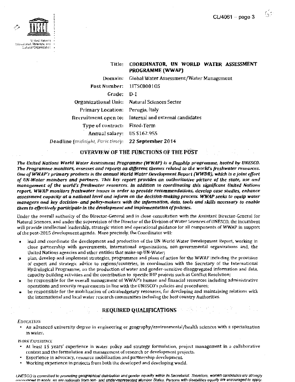63



~•'l"'al Srg~•l~t.~.-

#### Title: COORDINATOR, UN WORLD WATER ASSESSMENT PROGRAMME (WWAP)

Domain: Global Water Assessment/Water Management Post Number: 11TSCOOQ1 OS Grade: D-1 Organizational Unit: Natural Sciences Sector Primary Location: Perugia, Italy Recruitment open to: Internal and external candidates Type of contract: Fixed-Term Annual salary: US \$162.955 Deadline *(midnighl., Paris time):* 22 September 2014

### OVERVIEW OF THE FUNCTIONS OF THE POST

*The United Nations World Water Assessment Programme {WWAP) is a flagship programme, hosted by UNESCO. The Programme monitors, assesses and reports on different themes related to the world's freshwater resources. One of WWAP's primary products is the annual World Water Development Report (WWDR), which is a joint effort of UN-Water members and partners. This key report provides an authoritative picture of the state, use* rmd *management of the world's freshwater resources. In addition to coordinating this significant United Nations* report, WWAP monitors freshwater issues in order to provide recommendations, develop case studies, enhance assessment capacity at a national level and inform on the decision-making process. WWAP seeks to equip water *managers and key decision- and policy-makers with the information, data, tools and skills necessary to enable them to effectively participate in the development and implementation of policies.* 

Under the overall authority of the Director-General and in dose consultation with the Assistant Director-General for Natural Sciences, and under the supervision of the Director of the Division of Water Sciences of UNESCO, the incumbent will provide intellectual leadership, strategic vision and operational guidance for all components of WWAP in support of the post-2015 development agenda. More precisely, the Coordinator will:

- lead and coordinate the development and production of the UN World Water Development Report, working in close partnership with governments, international organizations, non-governmental organizations and, the United Nations agencies and other entities that make-up UN-Water;
- plan, develop and implement strategies, programmes and plans of action for the WWAP including the provision of expert and strategic advice to regions/countries, in coordination with the Secretary of the International Hydrological Programme, on the production of water and gender-sensitive disaggregated information and data, capacity-building activities and the contribution to specific JHP projects such as Conflict Resolution;
- be responsible for the overall management ofWWAP's human and financial resources including administrative operations and security requirements in line with the UNESCO's policies and procedures;
- be responsible for the mobilization of extrabudgetary resources, fur developing and maintaining relations with the international and local water research communities including the host country Authorities.

# **REQUIRED QUALIFICATIONS**

#### EDUCATION

• An advanced university degree in engineering or geographyfenvironmental/health sciences with a specialization in water.

#### WORK EXPERIENCE

- At least 15 years' experience in water policy and strategy formulation, project management in a collaborative context and the formulation and management of research or development projects.
- Experience in advocacy, resource mobilization and partnership development.
- $\blacksquare$ Working experience in projects from both the developed and developing world.

UNESCO is committed to promoting geographical distribution and gender equality within its Secretariat. Therefore, women candidates are strongly encouraged to apply, as are nationals from non- and under-represented Member States. Persons with disabilities equally are encouraged to apply.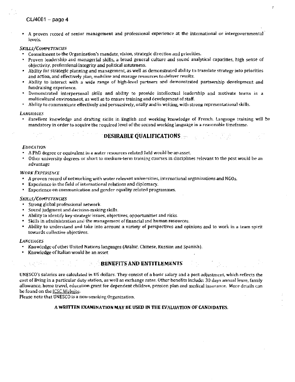A proven record of senior management and professional experience at the international or intergovernmental levels.

 $\cdot$ 

#### SKILLS/COMPETENCIES

Commitment to the Organization's mandate, vision, strategic direction and priorities.

- Proven leadership and managerial skills, a broad general culture and sound analytical capacities, high sense of objectivity, professional integrity and political astuteness.
- Ability for strategic planning and management, as well as demonstrated ability to translate strategy into priorities  $\blacksquare$ and action, and effectively plan, mobilize and manage resources to deliver results.
- Ability to interact with a wide range of high-level partners and demonstrated partnership development and  $\overline{\phantom{a}}$ fundraising experience.
- Demonstrated interpersonal skills and ability to provide intellectual leadership and motivate teams in a  $\bullet$ multicultural environment, as well as to ensure training and development of staff.
- Ability to communicate effectively and persuasively, orally and in writing, with strong representational skills.

#### *LANlil/Alil:S*

Excellent knowledge and drafting skills in English and working knowledge of Frem:h. Language training will *be*  mandatory in order to acquire the required level of the second working language in a reasonable timeframe.

# DESIRABLE QUALIFICATIONS

#### **EDUCATION**

- A PhD degree or equivalent in a water resources related field would be an asset.
- Other university degrees or short to medium-term training courses in disciplines relevant to the post would be an advantage

#### WORK EXPERIENCE

- A proven record of networking with water relevant universities, international organizations and NGOs.
- Experience in the field of international relations and diplomacy.
- Experience on communication and gender equality related programmes.

#### SKILLS/COMPETENCIES

- Strong global professional network.
- $\ddot{\phantom{a}}$ Sound judgment and decision-making skills.
- Ability to identify key strategic issues, objectives, opportunities and risks-
- Skills in administration and the management of financial and human resources\_
- j, Ability to understand and take into account a variety of perspectives and opinions and to work in a team spirit towards collective objectives.

#### *LANGUAGES*

- Knowledge of other United Nations languages (Arabic, Chinese, Russian and Spanish).
- Ĭ. Knowledge of Italian would be an asset

# BENEFITS AND ENTITLEMENTS

UNESCO's salaries are calculated in US dollars. They consist of a basic salary and a post adjustment, which reflects the cost of living in a particular duty station, as well as exchange rates. Other benefits include: 30 days annual *leave,* family allowance, home travel, education grant for dependent children, pension plan and medical insurance. More details can be found on the JCSC Website.

Please note that UNESCO is a non-smoking Organization.

#### A WRITTEN EXAMINATION MAY BE USED IN THE EVALUATION OF CANDIDATES.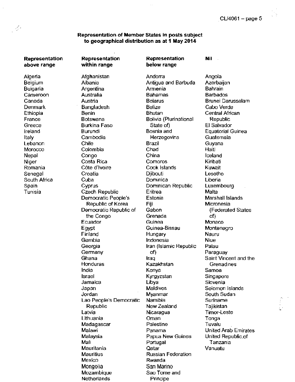**Nil** 

#### **Representation of Member States In posts subject to geographical distribution as at 1 May 2014**

**Representation above range** 

-13

Algeria **Belgium** Bulgaria Cameroon Canada Denmark Ethiopia France Greece Ireland Italy Lebanon Morocco **Nepal** Niger Romania Senegal South Africa Spain Tunisia

**Representation Representation within range below range**  Afghanistan Andorra Albania Antigua and Barbuda Argentina Armenia Australia Bahamas Austria Belarus Bangladesh Belize Benin **Bhutan** Botswana Bolivia (Piurinational Burkina Faso State of) Burundi Bosnia and Cambodia Herzegovina Chile Brazil Colombia Chad Congo China Costa Rica Comoros C6te d'lvoire Cook Islands Croatia Djibouti Cuba Dominica Cyprus Dominican Republic Czech Republic Eritrea Democratic People's Estonia Republic of Korea Fiji Democratic Republic of Gabon the Congo Grenada Ecuador Guinea Egypt Guinea-Bissau Finland Hungary Gambia **Indonesia** Georgia **Iran (Islamic Republic** Germany of) Ghana Iraq Honduras Kazakhstan India Kenya Israel Kyrgyzstan Jamaica Libya Japan Maldives Jordan Myanmar Lao People's Democratic Namibia Republic New Zealand Latvia **Nicaragua** Lithuania Oman Madagascar Palestine Malawi Panama Malaysia Papua New Guinea Mali **Portugal** Mauritania Qatar Mauritius Russian Federation Mexico Rwanda Mongolia San Marino Mozambique Sao Tome and

Netherlands Principe

Angola **Azerbaijan Bahrain** Barbados Brunei Darussalam Cabo Verde Central African Republic El Salvador Equatorial Guinea Guatemala Guyana Haiti Iceland Kiribati Kuwait Lesotho Liberia Luxembourg Malta Marshall Islands Micronesia (Federated States of) Monaco Montenegro Nauru Niue Palau Paraguay Saint Vincent and the Grenadines Samoa Singapore Slovenia Solomon Islands South Sudan Suriname Tajikistan Timor-Leste Tonga Tuvalu United Arab Emirates United Republic.of Tanzania Vanuatu